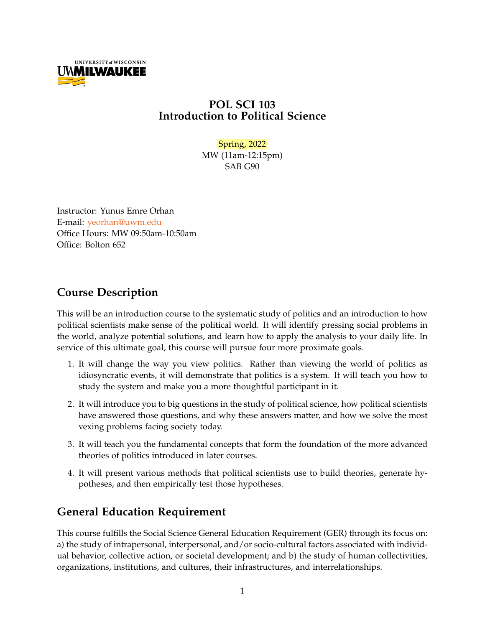

## **POL SCI 103 Introduction to Political Science**

### Spring, 2022

MW (11am-12:15pm) SAB G90

Instructor: Yunus Emre Orhan E-mail: [yeorhan@uwm.edu](mailto:yeorhan@uwm.edu) Office Hours: MW 09:50am-10:50am Office: Bolton 652

## **Course Description**

This will be an introduction course to the systematic study of politics and an introduction to how political scientists make sense of the political world. It will identify pressing social problems in the world, analyze potential solutions, and learn how to apply the analysis to your daily life. In service of this ultimate goal, this course will pursue four more proximate goals.

- 1. It will change the way you view politics. Rather than viewing the world of politics as idiosyncratic events, it will demonstrate that politics is a system. It will teach you how to study the system and make you a more thoughtful participant in it.
- 2. It will introduce you to big questions in the study of political science, how political scientists have answered those questions, and why these answers matter, and how we solve the most vexing problems facing society today.
- 3. It will teach you the fundamental concepts that form the foundation of the more advanced theories of politics introduced in later courses.
- 4. It will present various methods that political scientists use to build theories, generate hypotheses, and then empirically test those hypotheses.

## **General Education Requirement**

This course fulfills the Social Science General Education Requirement (GER) through its focus on: a) the study of intrapersonal, interpersonal, and/or socio-cultural factors associated with individual behavior, collective action, or societal development; and b) the study of human collectivities, organizations, institutions, and cultures, their infrastructures, and interrelationships.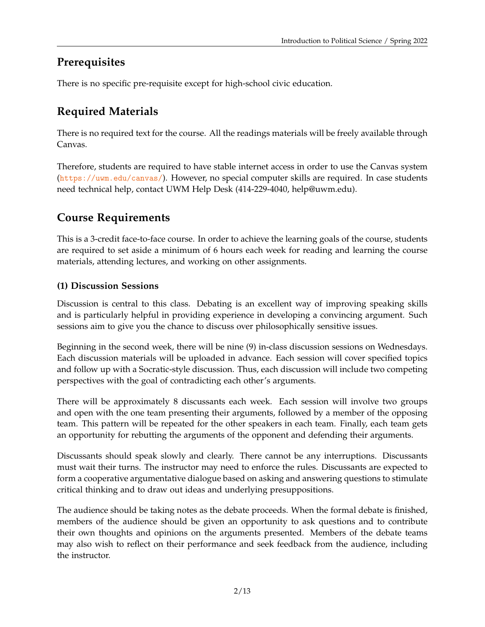## **Prerequisites**

There is no specific pre-requisite except for high-school civic education.

# **Required Materials**

There is no required text for the course. All the readings materials will be freely available through Canvas.

Therefore, students are required to have stable internet access in order to use the Canvas system (<https://uwm.edu/canvas/>). However, no special computer skills are required. In case students need technical help, contact UWM Help Desk (414-229-4040, help@uwm.edu).

# **Course Requirements**

This is a 3-credit face-to-face course. In order to achieve the learning goals of the course, students are required to set aside a minimum of 6 hours each week for reading and learning the course materials, attending lectures, and working on other assignments.

## **(1) Discussion Sessions**

Discussion is central to this class. Debating is an excellent way of improving speaking skills and is particularly helpful in providing experience in developing a convincing argument. Such sessions aim to give you the chance to discuss over philosophically sensitive issues.

Beginning in the second week, there will be nine (9) in-class discussion sessions on Wednesdays. Each discussion materials will be uploaded in advance. Each session will cover specified topics and follow up with a Socratic-style discussion. Thus, each discussion will include two competing perspectives with the goal of contradicting each other's arguments.

There will be approximately 8 discussants each week. Each session will involve two groups and open with the one team presenting their arguments, followed by a member of the opposing team. This pattern will be repeated for the other speakers in each team. Finally, each team gets an opportunity for rebutting the arguments of the opponent and defending their arguments.

Discussants should speak slowly and clearly. There cannot be any interruptions. Discussants must wait their turns. The instructor may need to enforce the rules. Discussants are expected to form a cooperative argumentative dialogue based on asking and answering questions to stimulate critical thinking and to draw out ideas and underlying presuppositions.

The audience should be taking notes as the debate proceeds. When the formal debate is finished, members of the audience should be given an opportunity to ask questions and to contribute their own thoughts and opinions on the arguments presented. Members of the debate teams may also wish to reflect on their performance and seek feedback from the audience, including the instructor.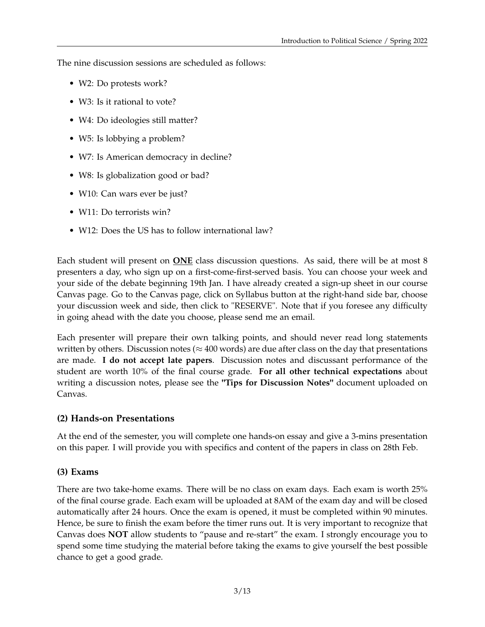The nine discussion sessions are scheduled as follows:

- W2: Do protests work?
- W3: Is it rational to vote?
- W4: Do ideologies still matter?
- W5: Is lobbying a problem?
- W7: Is American democracy in decline?
- W8: Is globalization good or bad?
- W10: Can wars ever be just?
- W11: Do terrorists win?
- W12: Does the US has to follow international law?

Each student will present on **ONE** class discussion questions. As said, there will be at most 8 presenters a day, who sign up on a first-come-first-served basis. You can choose your week and your side of the debate beginning 19th Jan. I have already created a sign-up sheet in our course Canvas page. Go to the Canvas page, click on Syllabus button at the right-hand side bar, choose your discussion week and side, then click to "RESERVE". Note that if you foresee any difficulty in going ahead with the date you choose, please send me an email.

Each presenter will prepare their own talking points, and should never read long statements written by others. Discussion notes ( $\approx$  400 words) are due after class on the day that presentations are made. **I do not accept late papers**. Discussion notes and discussant performance of the student are worth 10% of the final course grade. **For all other technical expectations** about writing a discussion notes, please see the **"Tips for Discussion Notes"** document uploaded on Canvas.

### **(2) Hands-on Presentations**

At the end of the semester, you will complete one hands-on essay and give a 3-mins presentation on this paper. I will provide you with specifics and content of the papers in class on 28th Feb.

## **(3) Exams**

There are two take-home exams. There will be no class on exam days. Each exam is worth 25% of the final course grade. Each exam will be uploaded at 8AM of the exam day and will be closed automatically after 24 hours. Once the exam is opened, it must be completed within 90 minutes. Hence, be sure to finish the exam before the timer runs out. It is very important to recognize that Canvas does **NOT** allow students to "pause and re-start" the exam. I strongly encourage you to spend some time studying the material before taking the exams to give yourself the best possible chance to get a good grade.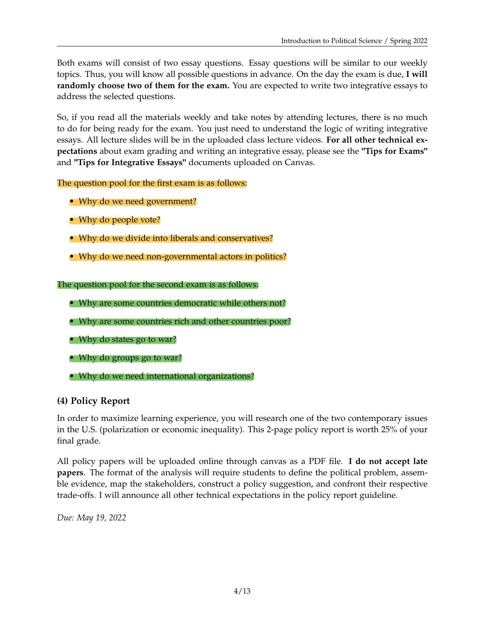Both exams will consist of two essay questions. Essay questions will be similar to our weekly topics. Thus, you will know all possible questions in advance. On the day the exam is due, **I will randomly choose two of them for the exam.** You are expected to write two integrative essays to address the selected questions.

So, if you read all the materials weekly and take notes by attending lectures, there is no much to do for being ready for the exam. You just need to understand the logic of writing integrative essays. All lecture slides will be in the uploaded class lecture videos. **For all other technical expectations** about exam grading and writing an integrative essay, please see the **"Tips for Exams"** and **"Tips for Integrative Essays"** documents uploaded on Canvas.

The question pool for the first exam is as follows:

- Why do we need government?
- Why do people vote?
- Why do we divide into liberals and conservatives?
- Why do we need non-governmental actors in politics?

### The question pool for the second exam is as follows:

- Why are some countries democratic while others not?
- Why are some countries rich and other countries poor?
- Why do states go to war?
- Why do groups go to war?
- Why do we need international organizations?

### **(4) Policy Report**

In order to maximize learning experience, you will research one of the two contemporary issues in the U.S. (polarization or economic inequality). This 2-page policy report is worth 25% of your final grade.

All policy papers will be uploaded online through canvas as a PDF file. **I do not accept late papers**. The format of the analysis will require students to define the political problem, assemble evidence, map the stakeholders, construct a policy suggestion, and confront their respective trade-offs. I will announce all other technical expectations in the policy report guideline.

*Due: May 19, 2022*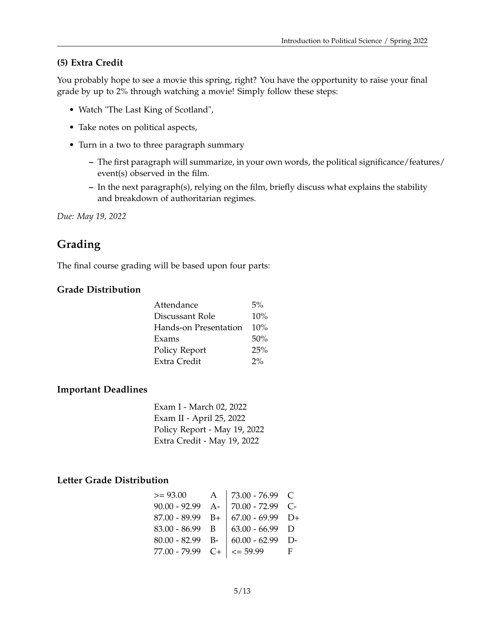### **(5) Extra Credit**

You probably hope to see a movie this spring, right? You have the opportunity to raise your final grade by up to 2% through watching a movie! Simply follow these steps:

- Watch "The Last King of Scotland",
- Take notes on political aspects,
- Turn in a two to three paragraph summary
	- **–** The first paragraph will summarize, in your own words, the political significance/features/ event(s) observed in the film.
	- **–** In the next paragraph(s), relying on the film, briefly discuss what explains the stability and breakdown of authoritarian regimes.

*Due: May 19, 2022*

## **Grading**

The final course grading will be based upon four parts:

### **Grade Distribution**

| Attendance            | 5%    |
|-----------------------|-------|
| Discussant Role       | 10%   |
| Hands-on Presentation | 10%   |
| Exams                 | 50%   |
| Policy Report         | 25%   |
| Extra Credit          | $2\%$ |
|                       |       |

#### **Important Deadlines**

Exam I - March 02, 2022 Exam II - April 25, 2022 Policy Report - May 19, 2022 Extra Credit - May 19, 2022

### **Letter Grade Distribution**

| $>= 93.00$         | A    | 73.00 - 76.99 C          |       |
|--------------------|------|--------------------------|-------|
| $90.00 - 92.99$    | $A-$ | $\vert$ 70.00 - 72.99 C- |       |
| $87.00 - 89.99$ B+ |      | $67.00 - 69.99$ D+       |       |
| $83.00 - 86.99$ B  |      | $63.00 - 66.99$ D        |       |
| $80.00 - 82.99$ B- |      | $60.00 - 62.99$ D-       |       |
| 77.00 - 79.99      |      | $C+$   $\leq$ 59.99      | - F - |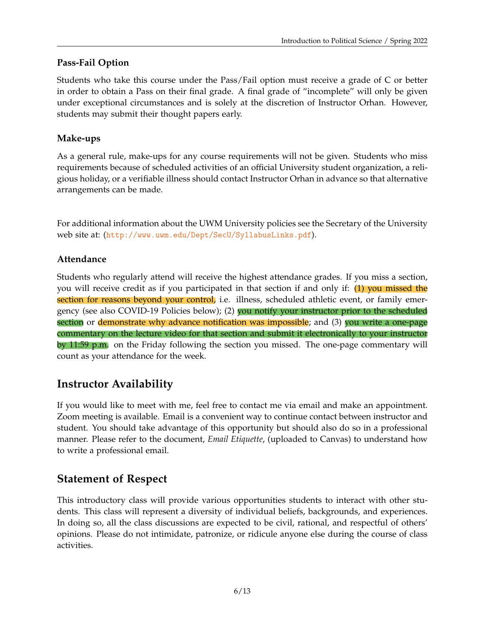## **Pass-Fail Option**

Students who take this course under the Pass/Fail option must receive a grade of C or better in order to obtain a Pass on their final grade. A final grade of "incomplete" will only be given under exceptional circumstances and is solely at the discretion of Instructor Orhan. However, students may submit their thought papers early.

## **Make-ups**

As a general rule, make-ups for any course requirements will not be given. Students who miss requirements because of scheduled activities of an official University student organization, a religious holiday, or a verifiable illness should contact Instructor Orhan in advance so that alternative arrangements can be made.

For additional information about the UWM University policies see the Secretary of the University web site at: (<http://www.uwm.edu/Dept/SecU/SyllabusLinks.pdf>).

## **Attendance**

Students who regularly attend will receive the highest attendance grades. If you miss a section, you will receive credit as if you participated in that section if and only if: (1) you missed the section for reasons beyond your control, i.e. illness, scheduled athletic event, or family emergency (see also COVID-19 Policies below); (2) you notify your instructor prior to the scheduled section or demonstrate why advance notification was impossible; and (3) you write a one-page commentary on the lecture video for that section and submit it electronically to your instructor by 11:59 p.m. on the Friday following the section you missed. The one-page commentary will count as your attendance for the week.

## **Instructor Availability**

If you would like to meet with me, feel free to contact me via email and make an appointment. Zoom meeting is available. Email is a convenient way to continue contact between instructor and student. You should take advantage of this opportunity but should also do so in a professional manner. Please refer to the document, *Email Etiquette*, (uploaded to Canvas) to understand how to write a professional email.

## **Statement of Respect**

This introductory class will provide various opportunities students to interact with other students. This class will represent a diversity of individual beliefs, backgrounds, and experiences. In doing so, all the class discussions are expected to be civil, rational, and respectful of others' opinions. Please do not intimidate, patronize, or ridicule anyone else during the course of class activities.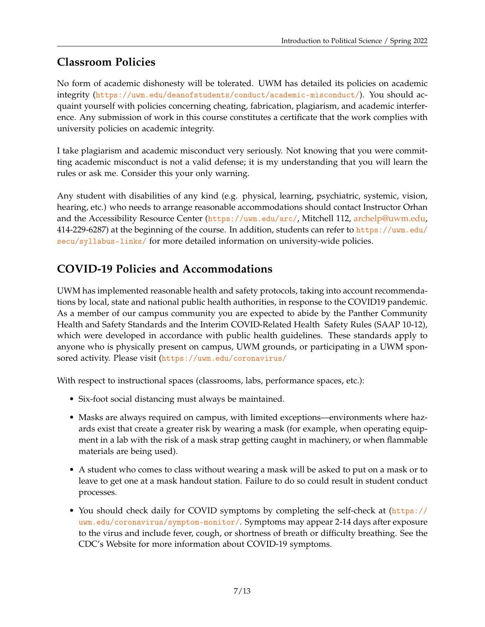# **Classroom Policies**

No form of academic dishonesty will be tolerated. UWM has detailed its policies on academic integrity (<https://uwm.edu/deanofstudents/conduct/academic-misconduct/>). You should acquaint yourself with policies concerning cheating, fabrication, plagiarism, and academic interference. Any submission of work in this course constitutes a certificate that the work complies with university policies on academic integrity.

I take plagiarism and academic misconduct very seriously. Not knowing that you were committing academic misconduct is not a valid defense; it is my understanding that you will learn the rules or ask me. Consider this your only warning.

Any student with disabilities of any kind (e.g. physical, learning, psychiatric, systemic, vision, hearing, etc.) who needs to arrange reasonable accommodations should contact Instructor Orhan and the Accessibility Resource Center (<https://uwm.edu/arc/>, Mitchell 112, [archelp@uwm.edu,](mailto:archelp@uwm.edu) 414-229-6287) at the beginning of the course. In addition, students can refer to [https://uwm.edu/](https://uwm.edu/secu/syllabus-links/) [secu/syllabus-links/](https://uwm.edu/secu/syllabus-links/) for more detailed information on university-wide policies.

# **COVID-19 Policies and Accommodations**

UWM has implemented reasonable health and safety protocols, taking into account recommendations by local, state and national public health authorities, in response to the COVID19 pandemic. As a member of our campus community you are expected to abide by the Panther Community Health and Safety Standards and the Interim COVID-Related Health Safety Rules (SAAP 10-12), which were developed in accordance with public health guidelines. These standards apply to anyone who is physically present on campus, UWM grounds, or participating in a UWM sponsored activity. Please visit (<https://uwm.edu/coronavirus/>

With respect to instructional spaces (classrooms, labs, performance spaces, etc.):

- Six-foot social distancing must always be maintained.
- Masks are always required on campus, with limited exceptions—environments where hazards exist that create a greater risk by wearing a mask (for example, when operating equipment in a lab with the risk of a mask strap getting caught in machinery, or when flammable materials are being used).
- A student who comes to class without wearing a mask will be asked to put on a mask or to leave to get one at a mask handout station. Failure to do so could result in student conduct processes.
- You should check daily for COVID symptoms by completing the self-check at ([https://](https://uwm.edu/coronavirus/symptom-monitor/) [uwm.edu/coronavirus/symptom-monitor/](https://uwm.edu/coronavirus/symptom-monitor/). Symptoms may appear 2-14 days after exposure to the virus and include fever, cough, or shortness of breath or difficulty breathing. See the CDC's Website for more information about COVID-19 symptoms.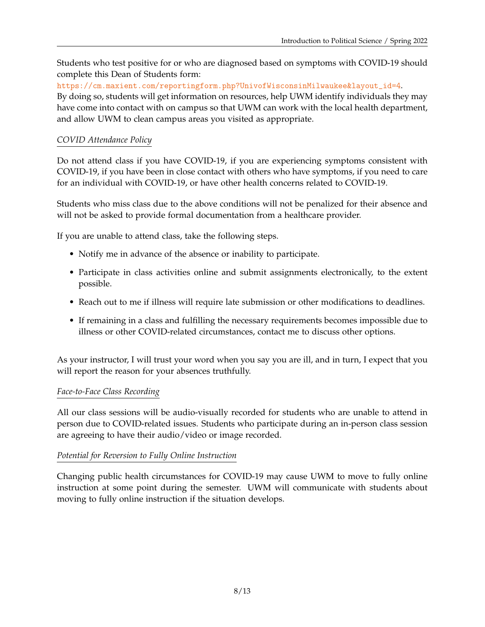Students who test positive for or who are diagnosed based on symptoms with COVID-19 should complete this Dean of Students form:

[https://cm.maxient.com/reportingform.php?UnivofWisconsinMilwaukee&layout\\_id=4](https://cm.maxient.com/reportingform.php?UnivofWisconsinMilwaukee&layout_id=4).

By doing so, students will get information on resources, help UWM identify individuals they may have come into contact with on campus so that UWM can work with the local health department, and allow UWM to clean campus areas you visited as appropriate.

### *COVID Attendance Policy*

Do not attend class if you have COVID-19, if you are experiencing symptoms consistent with COVID-19, if you have been in close contact with others who have symptoms, if you need to care for an individual with COVID-19, or have other health concerns related to COVID-19.

Students who miss class due to the above conditions will not be penalized for their absence and will not be asked to provide formal documentation from a healthcare provider.

If you are unable to attend class, take the following steps.

- Notify me in advance of the absence or inability to participate.
- Participate in class activities online and submit assignments electronically, to the extent possible.
- Reach out to me if illness will require late submission or other modifications to deadlines.
- If remaining in a class and fulfilling the necessary requirements becomes impossible due to illness or other COVID-related circumstances, contact me to discuss other options.

As your instructor, I will trust your word when you say you are ill, and in turn, I expect that you will report the reason for your absences truthfully.

### *Face-to-Face Class Recording*

All our class sessions will be audio-visually recorded for students who are unable to attend in person due to COVID-related issues. Students who participate during an in-person class session are agreeing to have their audio/video or image recorded.

### *Potential for Reversion to Fully Online Instruction*

Changing public health circumstances for COVID-19 may cause UWM to move to fully online instruction at some point during the semester. UWM will communicate with students about moving to fully online instruction if the situation develops.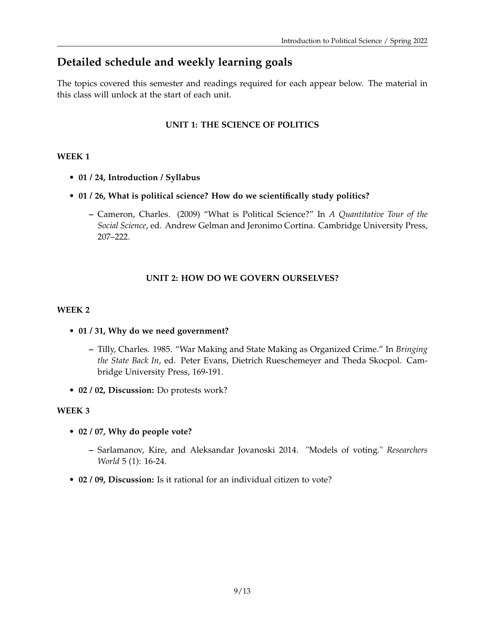# **Detailed schedule and weekly learning goals**

The topics covered this semester and readings required for each appear below. The material in this class will unlock at the start of each unit.

## **UNIT 1: THE SCIENCE OF POLITICS**

### **WEEK 1**

- **01 / 24, Introduction / Syllabus**
- **01 / 26, What is political science? How do we scientifically study politics?**
	- **–** Cameron, Charles. (2009) "What is Political Science?" In *A Quantitative Tour of the Social Science*, ed. Andrew Gelman and Jeronimo Cortina. Cambridge University Press, 207–222.

### **UNIT 2: HOW DO WE GOVERN OURSELVES?**

### **WEEK 2**

- **01 / 31, Why do we need government?**
	- **–** Tilly, Charles. 1985. "War Making and State Making as Organized Crime." In *Bringing the State Back In*, ed. Peter Evans, Dietrich Rueschemeyer and Theda Skocpol. Cambridge University Press, 169-191.
- **02 / 02, Discussion:** Do protests work?

- **02 / 07, Why do people vote?**
	- **–** Sarlamanov, Kire, and Aleksandar Jovanoski 2014. "Models of voting." *Researchers World* 5 (1): 16-24.
- **02 / 09, Discussion:** Is it rational for an individual citizen to vote?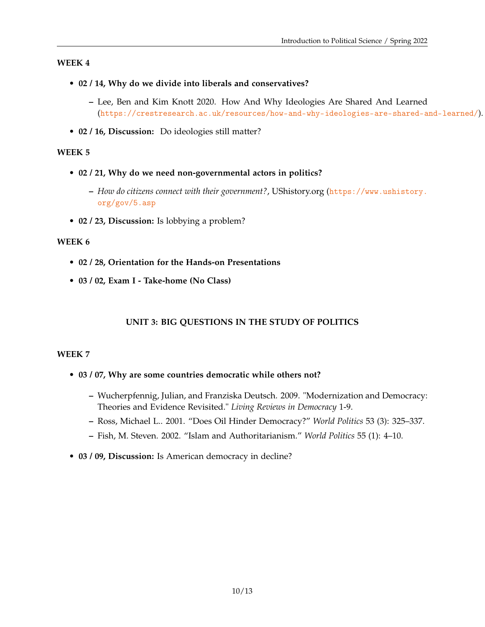- **02 / 14, Why do we divide into liberals and conservatives?**
	- **–** Lee, Ben and Kim Knott 2020. How And Why Ideologies Are Shared And Learned (<https://crestresearch.ac.uk/resources/how-and-why-ideologies-are-shared-and-learned/>).
- **02 / 16, Discussion:** Do ideologies still matter?

#### **WEEK 5**

- **02 / 21, Why do we need non-governmental actors in politics?**
	- **–** *How do citizens connect with their government?*, UShistory.org ([https://www.ushistory.](https://www.ushistory.org/gov/5.asp) [org/gov/5.asp](https://www.ushistory.org/gov/5.asp)
- **02 / 23, Discussion:** Is lobbying a problem?

#### **WEEK 6**

- **02 / 28, Orientation for the Hands-on Presentations**
- **03 / 02, Exam I Take-home (No Class)**

### **UNIT 3: BIG QUESTIONS IN THE STUDY OF POLITICS**

- **03 / 07, Why are some countries democratic while others not?**
	- **–** Wucherpfennig, Julian, and Franziska Deutsch. 2009. "Modernization and Democracy: Theories and Evidence Revisited." *Living Reviews in Democracy* 1-9.
	- **–** Ross, Michael L.. 2001. "Does Oil Hinder Democracy?" *World Politics* 53 (3): 325–337.
	- **–** Fish, M. Steven. 2002. "Islam and Authoritarianism." *World Politics* 55 (1): 4–10.
- **03 / 09, Discussion:** Is American democracy in decline?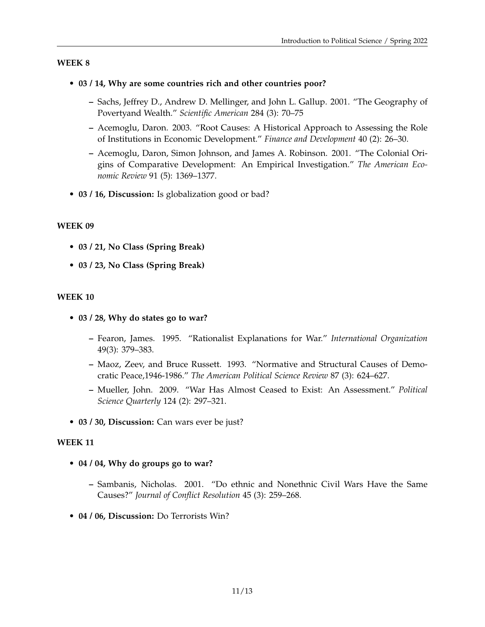### • **03 / 14, Why are some countries rich and other countries poor?**

- **–** Sachs, Jeffrey D., Andrew D. Mellinger, and John L. Gallup. 2001. "The Geography of Povertyand Wealth." *Scientific American* 284 (3): 70–75
- **–** Acemoglu, Daron. 2003. "Root Causes: A Historical Approach to Assessing the Role of Institutions in Economic Development." *Finance and Development* 40 (2): 26–30.
- **–** Acemoglu, Daron, Simon Johnson, and James A. Robinson. 2001. "The Colonial Origins of Comparative Development: An Empirical Investigation." *The American Economic Review* 91 (5): 1369–1377.
- **03 / 16, Discussion:** Is globalization good or bad?

### **WEEK 09**

- **03 / 21, No Class (Spring Break)**
- **03 / 23, No Class (Spring Break)**

### **WEEK 10**

- **03 / 28, Why do states go to war?**
	- **–** Fearon, James. 1995. "Rationalist Explanations for War." *International Organization* 49(3): 379–383.
	- **–** Maoz, Zeev, and Bruce Russett. 1993. "Normative and Structural Causes of Democratic Peace,1946-1986." *The American Political Science Review* 87 (3): 624–627.
	- **–** Mueller, John. 2009. "War Has Almost Ceased to Exist: An Assessment." *Political Science Quarterly* 124 (2): 297–321.
- **03 / 30, Discussion:** Can wars ever be just?

- **04 / 04, Why do groups go to war?**
	- **–** Sambanis, Nicholas. 2001. "Do ethnic and Nonethnic Civil Wars Have the Same Causes?" *Journal of Conflict Resolution* 45 (3): 259–268.
- **04 / 06, Discussion:** Do Terrorists Win?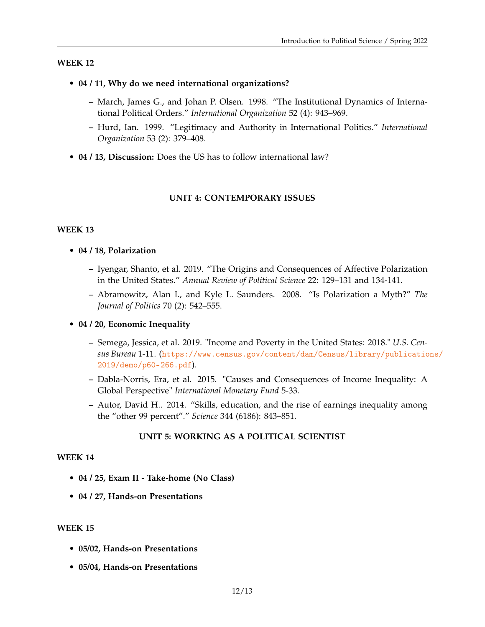- **04 / 11, Why do we need international organizations?**
	- **–** March, James G., and Johan P. Olsen. 1998. "The Institutional Dynamics of International Political Orders." *International Organization* 52 (4): 943–969.
	- **–** Hurd, Ian. 1999. "Legitimacy and Authority in International Politics." *International Organization* 53 (2): 379–408.
- **04 / 13, Discussion:** Does the US has to follow international law?

#### **UNIT 4: CONTEMPORARY ISSUES**

#### **WEEK 13**

- **04 / 18, Polarization**
	- **–** Iyengar, Shanto, et al. 2019. "The Origins and Consequences of Affective Polarization in the United States." *Annual Review of Political Science* 22: 129–131 and 134-141.
	- **–** Abramowitz, Alan I., and Kyle L. Saunders. 2008. "Is Polarization a Myth?" *The Journal of Politics* 70 (2): 542–555.
- **04 / 20, Economic Inequality**
	- **–** Semega, Jessica, et al. 2019. "Income and Poverty in the United States: 2018." *U.S. Census Bureau* 1-11. ([https://www.census.gov/content/dam/Census/library/publicatio](https://www.census.gov/content/dam/Census/library/publications/2019/demo/p60-266.pdf)ns/ [2019/demo/p60-266.pdf](https://www.census.gov/content/dam/Census/library/publications/2019/demo/p60-266.pdf)).
	- **–** Dabla-Norris, Era, et al. 2015. "Causes and Consequences of Income Inequality: A Global Perspective" *International Monetary Fund* 5-33.
	- **–** Autor, David H.. 2014. "Skills, education, and the rise of earnings inequality among the "other 99 percent"." *Science* 344 (6186): 843–851.

#### **UNIT 5: WORKING AS A POLITICAL SCIENTIST**

#### **WEEK 14**

- **04 / 25, Exam II Take-home (No Class)**
- **04 / 27, Hands-on Presentations**

- **05/02, Hands-on Presentations**
- **05/04, Hands-on Presentations**